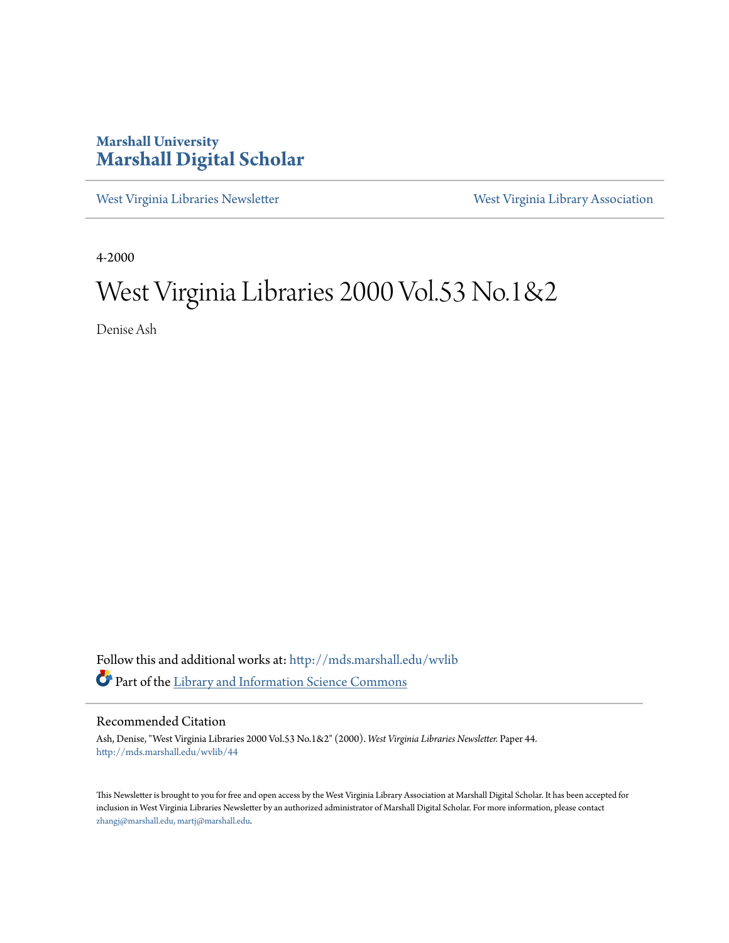### **Marshall University [Marshall Digital Scholar](http://mds.marshall.edu?utm_source=mds.marshall.edu%2Fwvlib%2F44&utm_medium=PDF&utm_campaign=PDFCoverPages)**

[West Virginia Libraries Newsletter](http://mds.marshall.edu/wvlib?utm_source=mds.marshall.edu%2Fwvlib%2F44&utm_medium=PDF&utm_campaign=PDFCoverPages) [West Virginia Library Association](http://mds.marshall.edu/wvla?utm_source=mds.marshall.edu%2Fwvlib%2F44&utm_medium=PDF&utm_campaign=PDFCoverPages)

4-2000

### West Virginia Libraries 2000 Vol.53 No.1&2

Denise Ash

Follow this and additional works at: [http://mds.marshall.edu/wvlib](http://mds.marshall.edu/wvlib?utm_source=mds.marshall.edu%2Fwvlib%2F44&utm_medium=PDF&utm_campaign=PDFCoverPages) Part of the [Library and Information Science Commons](http://network.bepress.com/hgg/discipline/1018?utm_source=mds.marshall.edu%2Fwvlib%2F44&utm_medium=PDF&utm_campaign=PDFCoverPages)

#### Recommended Citation

Ash, Denise, "West Virginia Libraries 2000 Vol.53 No.1&2" (2000). *West Virginia Libraries Newsletter.* Paper 44. [http://mds.marshall.edu/wvlib/44](http://mds.marshall.edu/wvlib/44?utm_source=mds.marshall.edu%2Fwvlib%2F44&utm_medium=PDF&utm_campaign=PDFCoverPages)

This Newsletter is brought to you for free and open access by the West Virginia Library Association at Marshall Digital Scholar. It has been accepted for inclusion in West Virginia Libraries Newsletter by an authorized administrator of Marshall Digital Scholar. For more information, please contact [zhangj@marshall.edu, martj@marshall.edu](mailto:zhangj@marshall.edu,%20martj@marshall.edu).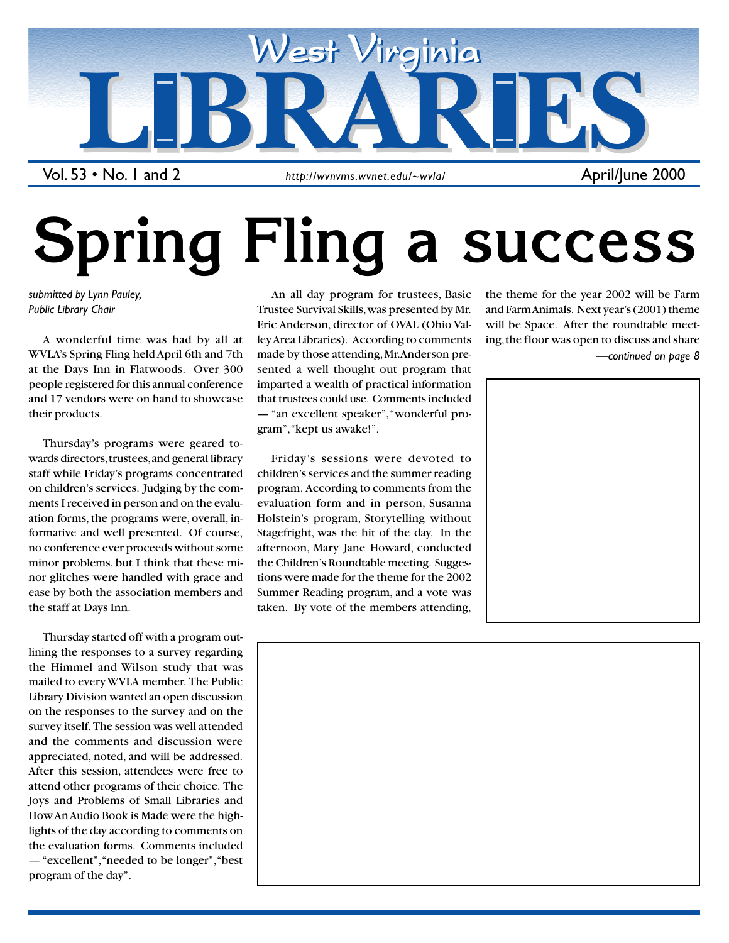

Vol. 53 • No. 1 and 2

# **Spring Fling a success**

*submitted by Lynn Pauley, Public Library Chair*

A wonderful time was had by all at WVLA's Spring Fling held April 6th and 7th at the Days Inn in Flatwoods. Over 300 people registered for this annual conference and 17 vendors were on hand to showcase their products.

Thursday's programs were geared towards directors, trustees, and general library staff while Friday's programs concentrated on children's services. Judging by the comments I received in person and on the evaluation forms, the programs were, overall, informative and well presented. Of course, no conference ever proceeds without some minor problems, but I think that these minor glitches were handled with grace and ease by both the association members and the staff at Days Inn.

Thursday started off with a program outlining the responses to a survey regarding the Himmel and Wilson study that was mailed to every WVLA member. The Public Library Division wanted an open discussion on the responses to the survey and on the survey itself. The session was well attended and the comments and discussion were appreciated, noted, and will be addressed. After this session, attendees were free to attend other programs of their choice. The Joys and Problems of Small Libraries and How An Audio Book is Made were the highlights of the day according to comments on the evaluation forms. Comments included — "excellent", "needed to be longer", "best program of the day".

An all day program for trustees, Basic Trustee Survival Skills, was presented by Mr. Eric Anderson, director of OVAL (Ohio Valley Area Libraries). According to comments made by those attending, Mr. Anderson presented a well thought out program that imparted a wealth of practical information that trustees could use. Comments included — "an excellent speaker", "wonderful program", "kept us awake!".

Friday's sessions were devoted to children's services and the summer reading program. According to comments from the evaluation form and in person, Susanna Holstein's program, Storytelling without Stagefright, was the hit of the day. In the afternoon, Mary Jane Howard, conducted the Children's Roundtable meeting. Suggestions were made for the theme for the 2002 Summer Reading program, and a vote was taken. By vote of the members attending,

the theme for the year 2002 will be Farm and Farm Animals. Next year's (2001) theme will be Space. After the roundtable meeting, the floor was open to discuss and share

*—continued on page 8*





1 April/June 2000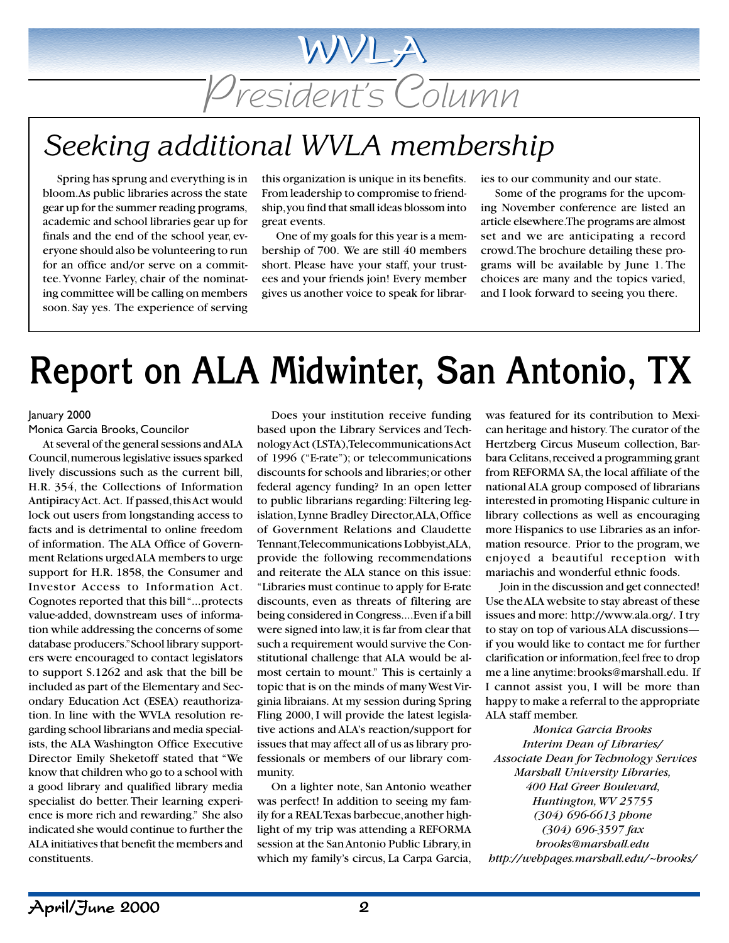## President's Column

WVLA

### *Seeking additional WVLA membership*

Spring has sprung and everything is in bloom. As public libraries across the state gear up for the summer reading programs, academic and school libraries gear up for finals and the end of the school year, everyone should also be volunteering to run for an office and/or serve on a committee. Yvonne Farley, chair of the nominating committee will be calling on members soon. Say yes. The experience of serving

this organization is unique in its benefits. From leadership to compromise to friendship, you find that small ideas blossom into great events.

One of my goals for this year is a membership of 700. We are still 40 members short. Please have your staff, your trustees and your friends join! Every member gives us another voice to speak for libraries to our community and our state.

Some of the programs for the upcoming November conference are listed an article elsewhere. The programs are almost set and we are anticipating a record crowd. The brochure detailing these programs will be available by June 1. The choices are many and the topics varied, and I look forward to seeing you there.

### **Report on ALA Midwinter, San Antonio, TX**

#### January 2000

#### Monica Garcia Brooks, Councilor

At several of the general sessions and ALA Council, numerous legislative issues sparked lively discussions such as the current bill, H.R. 354, the Collections of Information Antipiracy Act. Act. If passed, this Act would lock out users from longstanding access to facts and is detrimental to online freedom of information. The ALA Office of Government Relations urged ALA members to urge support for H.R. 1858, the Consumer and Investor Access to Information Act. Cognotes reported that this bill "...protects value-added, downstream uses of information while addressing the concerns of some database producers." School library supporters were encouraged to contact legislators to support S.1262 and ask that the bill be included as part of the Elementary and Secondary Education Act (ESEA) reauthorization. In line with the WVLA resolution regarding school librarians and media specialists, the ALA Washington Office Executive Director Emily Sheketoff stated that "We know that children who go to a school with a good library and qualified library media specialist do better. Their learning experience is more rich and rewarding." She also indicated she would continue to further the ALA initiatives that benefit the members and constituents.

Does your institution receive funding based upon the Library Services and Technology Act (LSTA), Telecommunications Act of 1996 ("E-rate"); or telecommunications discounts for schools and libraries; or other federal agency funding? In an open letter to public librarians regarding: Filtering legislation, Lynne Bradley Director, ALA, Office of Government Relations and Claudette Tennant, Telecommunications Lobbyist, ALA, provide the following recommendations and reiterate the ALA stance on this issue: "Libraries must continue to apply for E-rate discounts, even as threats of filtering are being considered in Congress....Even if a bill were signed into law, it is far from clear that such a requirement would survive the Constitutional challenge that ALA would be almost certain to mount." This is certainly a topic that is on the minds of many West Virginia libraians. At my session during Spring Fling 2000, I will provide the latest legislative actions and ALA's reaction/support for issues that may affect all of us as library professionals or members of our library community.

On a lighter note, San Antonio weather was perfect! In addition to seeing my family for a REAL Texas barbecue, another highlight of my trip was attending a REFORMA session at the San Antonio Public Library, in which my family's circus, La Carpa Garcia,

was featured for its contribution to Mexican heritage and history. The curator of the Hertzberg Circus Museum collection, Barbara Celitans, received a programming grant from REFORMA SA, the local affiliate of the national ALA group composed of librarians interested in promoting Hispanic culture in library collections as well as encouraging more Hispanics to use Libraries as an information resource. Prior to the program, we enjoyed a beautiful reception with mariachis and wonderful ethnic foods.

Join in the discussion and get connected! Use the ALA website to stay abreast of these issues and more: http://www.ala.org/. I try to stay on top of various ALA discussions if you would like to contact me for further clarification or information, feel free to drop me a line anytime: brooks@marshall.edu. If I cannot assist you, I will be more than happy to make a referral to the appropriate ALA staff member.

*Monica Garcia Brooks Interim Dean of Libraries/ Associate Dean for Technology Services Marshall University Libraries, 400 Hal Greer Boulevard, Huntington, WV 25755 (304) 696-6613 phone (304) 696-3597 fax brooks@marshall.edu http://webpages.marshall.edu/~brooks/*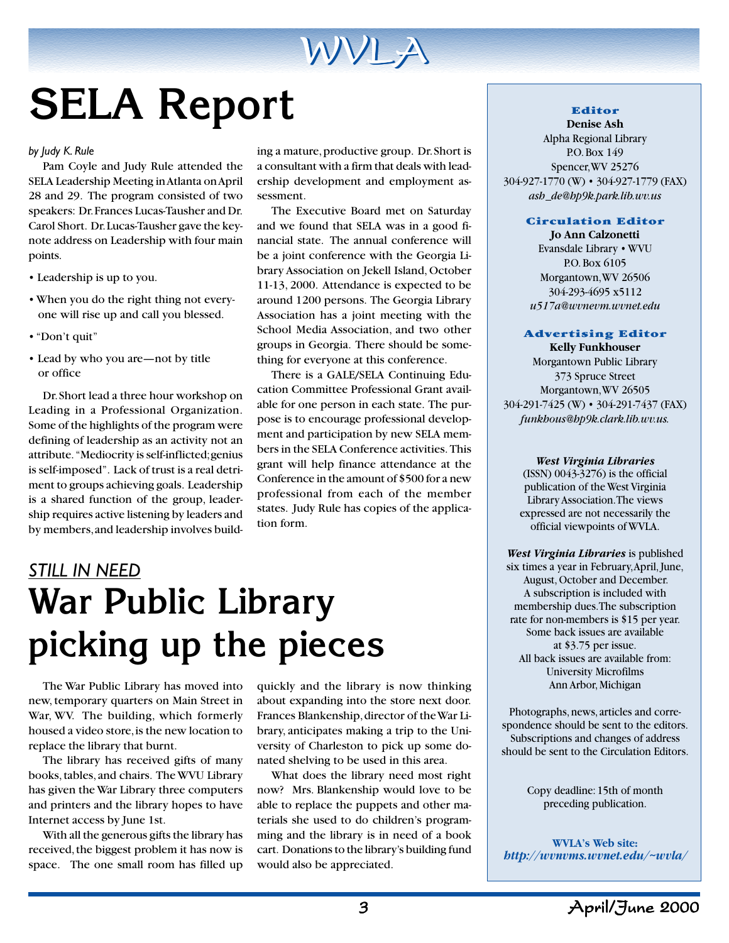

# **SELA Report**

#### *by Judy K. Rule*

Pam Coyle and Judy Rule attended the SELA Leadership Meeting in Atlanta on April 28 and 29. The program consisted of two speakers: Dr. Frances Lucas-Tausher and Dr. Carol Short. Dr. Lucas-Tausher gave the keynote address on Leadership with four main points.

- Leadership is up to you.
- When you do the right thing not every one will rise up and call you blessed.
- "Don't quit"
- Lead by who you are—not by title or office

Dr. Short lead a three hour workshop on Leading in a Professional Organization. Some of the highlights of the program were defining of leadership as an activity not an attribute. "Mediocrity is self-inflicted; genius is self-imposed". Lack of trust is a real detriment to groups achieving goals. Leadership is a shared function of the group, leadership requires active listening by leaders and by members, and leadership involves build-

ing a mature, productive group. Dr. Short is a consultant with a firm that deals with leadership development and employment assessment.

The Executive Board met on Saturday and we found that SELA was in a good financial state. The annual conference will be a joint conference with the Georgia Library Association on Jekell Island, October 11-13, 2000. Attendance is expected to be around 1200 persons. The Georgia Library Association has a joint meeting with the School Media Association, and two other groups in Georgia. There should be something for everyone at this conference.

There is a GALE/SELA Continuing Education Committee Professional Grant available for one person in each state. The purpose is to encourage professional development and participation by new SELA members in the SELA Conference activities. This grant will help finance attendance at the Conference in the amount of \$500 for a new professional from each of the member states. Judy Rule has copies of the application form.

### *STILL IN NEED* **War Public Library picking up the pieces**

The War Public Library has moved into new, temporary quarters on Main Street in War, WV. The building, which formerly housed a video store, is the new location to replace the library that burnt.

The library has received gifts of many books, tables, and chairs. The WVU Library has given the War Library three computers and printers and the library hopes to have Internet access by June 1st.

With all the generous gifts the library has received, the biggest problem it has now is space. The one small room has filled up quickly and the library is now thinking about expanding into the store next door. Frances Blankenship, director of the War Library, anticipates making a trip to the University of Charleston to pick up some donated shelving to be used in this area.

What does the library need most right now? Mrs. Blankenship would love to be able to replace the puppets and other materials she used to do children's programming and the library is in need of a book cart. Donations to the library's building fund would also be appreciated.

#### **Editor**

**Denise Ash** Alpha Regional Library P.O. Box 149 Spencer, WV 25276 304-927-1770 (W) • 304-927-1779 (FAX) *ash de@hp9k.park.lib.wv.us*

#### **Circulation Editor**

**Jo Ann Calzonetti** Evansdale Library • WVU P.O. Box 6105 Morgantown, WV 26506 304-293-4695 x5112 *u517a@wvnevm.wvnet.edu*

#### **Advertising Editor Kelly Funkhouser**

Morgantown Public Library 373 Spruce Street Morgantown, WV 26505 304-291-7425 (W) • 304-291-7437 (FAX) *funkhous@hp9k.clark.lib.wv.us.*

#### *West Virginia Libraries*

(ISSN) 0043-3276) is the official publication of the West Virginia Library Association. The views expressed are not necessarily the official viewpoints of WVLA.

*West Virginia Libraries* is published six times a year in February, April, June, August, October and December. A subscription is included with membership dues. The subscription rate for non-members is \$15 per year. Some back issues are available at \$3.75 per issue. All back issues are available from: University Microfilms Ann Arbor, Michigan

Photographs, news, articles and correspondence should be sent to the editors. Subscriptions and changes of address should be sent to the Circulation Editors.

> Copy deadline: 15th of month preceding publication.

**WVLA's Web site:** *http://wvnvms.wvnet.edu/~wvla/*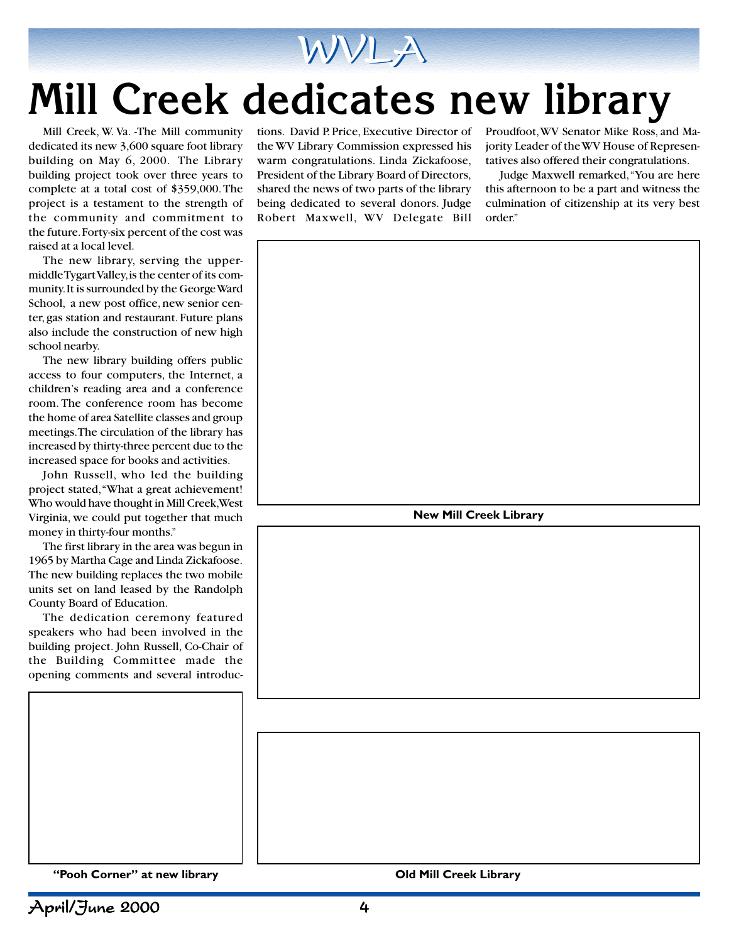

# **Mill Creek dedicates new library**

Mill Creek, W. Va. -The Mill community dedicated its new 3,600 square foot library building on May 6, 2000. The Library building project took over three years to complete at a total cost of \$359,000. The project is a testament to the strength of the community and commitment to the future. Forty-six percent of the cost was raised at a local level.

The new library, serving the uppermiddle Tygart Valley, is the center of its community. It is surrounded by the George Ward School, a new post office, new senior center, gas station and restaurant. Future plans also include the construction of new high school nearby.

The new library building offers public access to four computers, the Internet, a children's reading area and a conference room. The conference room has become the home of area Satellite classes and group meetings. The circulation of the library has increased by thirty-three percent due to the increased space for books and activities.

John Russell, who led the building project stated, "What a great achievement! Who would have thought in Mill Creek, West Virginia, we could put together that much money in thirty-four months."

The first library in the area was begun in 1965 by Martha Cage and Linda Zickafoose. The new building replaces the two mobile units set on land leased by the Randolph County Board of Education.

The dedication ceremony featured speakers who had been involved in the building project. John Russell, Co-Chair of the Building Committee made the opening comments and several introductions. David P. Price, Executive Director of the WV Library Commission expressed his warm congratulations. Linda Zickafoose, President of the Library Board of Directors, shared the news of two parts of the library being dedicated to several donors. Judge Robert Maxwell, WV Delegate Bill

Proudfoot, WV Senator Mike Ross, and Majority Leader of the WV House of Representatives also offered their congratulations.

Judge Maxwell remarked, "You are here this afternoon to be a part and witness the culmination of citizenship at its very best order."



**"Pooh Corner" at new library Old Mill Creek Library**

April/June 2000 4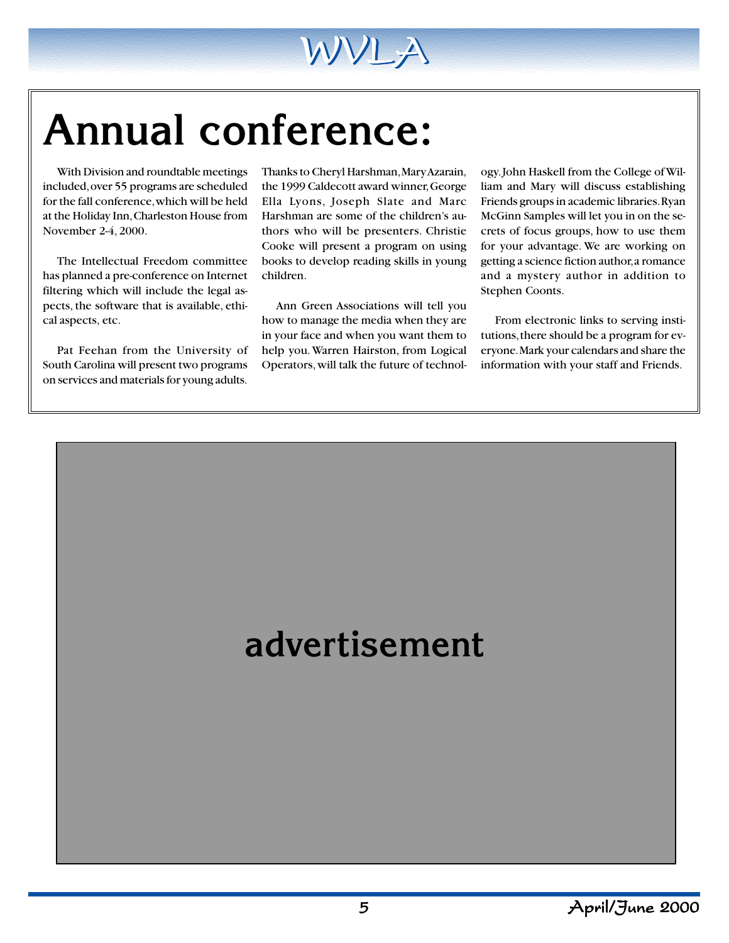

# **Annual conference:**

With Division and roundtable meetings included, over 55 programs are scheduled for the fall conference, which will be held at the Holiday Inn, Charleston House from November 2-4, 2000.

The Intellectual Freedom committee has planned a pre-conference on Internet filtering which will include the legal aspects, the software that is available, ethical aspects, etc.

Pat Feehan from the University of South Carolina will present two programs on services and materials for young adults.

Thanks to Cheryl Harshman, Mary Azarain, the 1999 Caldecott award winner, George Ella Lyons, Joseph Slate and Marc Harshman are some of the children's authors who will be presenters. Christie Cooke will present a program on using books to develop reading skills in young children.

Ann Green Associations will tell you how to manage the media when they are in your face and when you want them to help you. Warren Hairston, from Logical Operators, will talk the future of technology. John Haskell from the College of William and Mary will discuss establishing Friends groups in academic libraries. Ryan McGinn Samples will let you in on the secrets of focus groups, how to use them for your advantage. We are working on getting a science fiction author, a romance and a mystery author in addition to Stephen Coonts.

From electronic links to serving institutions, there should be a program for everyone. Mark your calendars and share the information with your staff and Friends.

### **advertisement**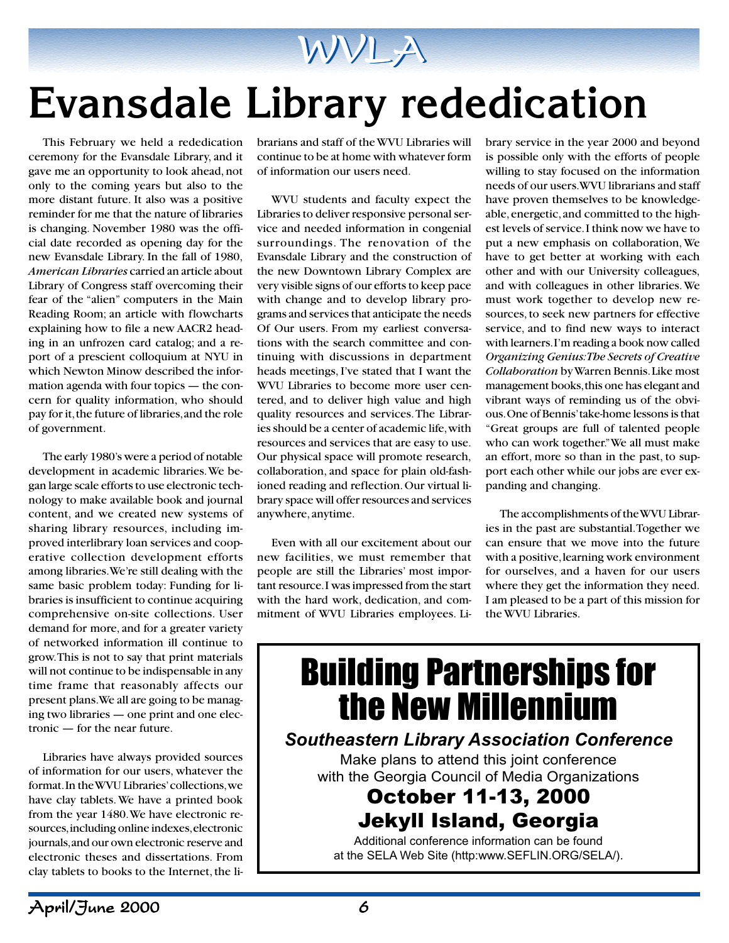

# **Evansdale Library rededication**

This February we held a rededication ceremony for the Evansdale Library, and it gave me an opportunity to look ahead, not only to the coming years but also to the more distant future. It also was a positive reminder for me that the nature of libraries is changing. November 1980 was the official date recorded as opening day for the new Evansdale Library. In the fall of 1980, *American Libraries* carried an article about Library of Congress staff overcoming their fear of the "alien" computers in the Main Reading Room; an article with flowcharts explaining how to file a new AACR2 heading in an unfrozen card catalog; and a report of a prescient colloquium at NYU in which Newton Minow described the information agenda with four topics — the concern for quality information, who should pay for it, the future of libraries, and the role of government.

The early 1980's were a period of notable development in academic libraries. We began large scale efforts to use electronic technology to make available book and journal content, and we created new systems of sharing library resources, including improved interlibrary loan services and cooperative collection development efforts among libraries. We're still dealing with the same basic problem today: Funding for libraries is insufficient to continue acquiring comprehensive on-site collections. User demand for more, and for a greater variety of networked information ill continue to grow. This is not to say that print materials will not continue to be indispensable in any time frame that reasonably affects our present plans. We all are going to be managing two libraries — one print and one electronic — for the near future.

Libraries have always provided sources of information for our users, whatever the format. In the WVU Libraries' collections, we have clay tablets. We have a printed book from the year 1480. We have electronic resources, including online indexes, electronic journals, and our own electronic reserve and electronic theses and dissertations. From clay tablets to books to the Internet, the librarians and staff of the WVU Libraries will continue to be at home with whatever form of information our users need.

WVU students and faculty expect the Libraries to deliver responsive personal service and needed information in congenial surroundings. The renovation of the Evansdale Library and the construction of the new Downtown Library Complex are very visible signs of our efforts to keep pace with change and to develop library programs and services that anticipate the needs Of Our users. From my earliest conversations with the search committee and continuing with discussions in department heads meetings, I've stated that I want the WVU Libraries to become more user centered, and to deliver high value and high quality resources and services. The Libraries should be a center of academic life, with resources and services that are easy to use. Our physical space will promote research, collaboration, and space for plain old-fashioned reading and reflection. Our virtual library space will offer resources and services anywhere, anytime.

Even with all our excitement about our new facilities, we must remember that people are still the Libraries' most important resource. I was impressed from the start with the hard work, dedication, and commitment of WVU Libraries employees. Library service in the year 2000 and beyond is possible only with the efforts of people willing to stay focused on the information needs of our users. WVU librarians and staff have proven themselves to be knowledgeable, energetic, and committed to the highest levels of service. I think now we have to put a new emphasis on collaboration, We have to get better at working with each other and with our University colleagues, and with colleagues in other libraries. We must work together to develop new resources, to seek new partners for effective service, and to find new ways to interact with learners. I'm reading a book now called *Organizing Genius: The Secrets of Creative Collaboration* by Warren Bennis. Like most management books, this one has elegant and vibrant ways of reminding us of the obvious. One of Bennis' take-home lessons is that "Great groups are full of talented people who can work together." We all must make an effort, more so than in the past, to support each other while our jobs are ever expanding and changing.

The accomplishments of the WVU Libraries in the past are substantial. Together we can ensure that we move into the future with a positive, learning work environment for ourselves, and a haven for our users where they get the information they need. I am pleased to be a part of this mission for the WVU Libraries.

### Building Partnerships for the New Millennium

### **Southeastern Library Association Conference**

Make plans to attend this joint conference with the Georgia Council of Media Organizations

### October 11-13, 2000 Jekyll Island, Georgia

Additional conference information can be found at the SELA Web Site (http:www.SEFLIN.ORG/SELA/).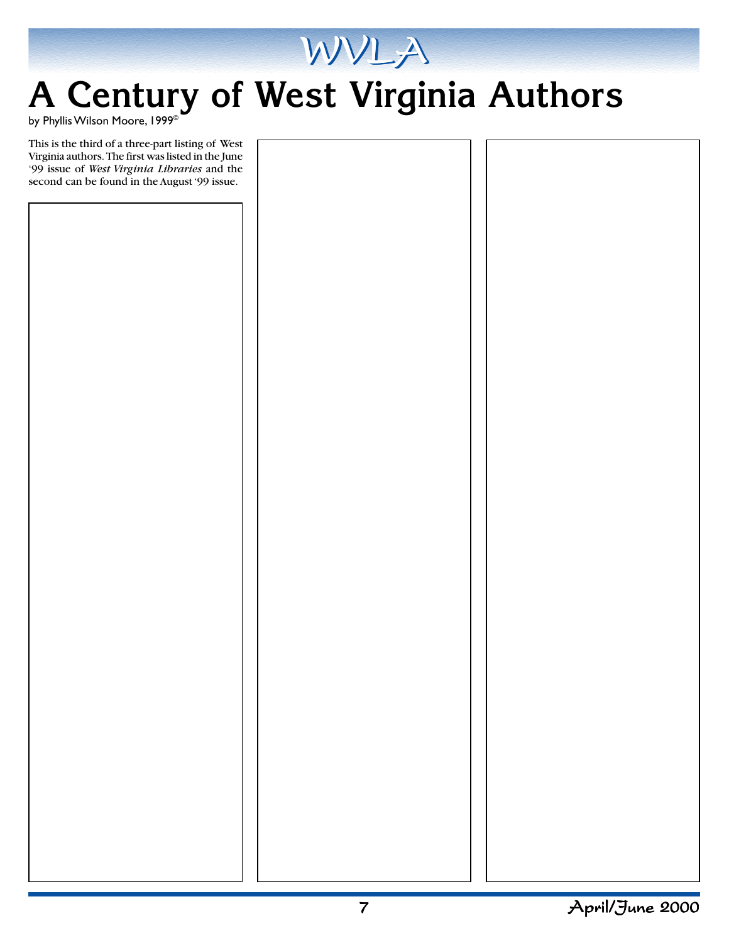

### **A Century of West Virginia Authors**

by Phyllis Wilson Moore, 1999©

This is the third of a three-part listing of West Virginia authors. The first was listed in the June '99 issue of *West Virginia Libraries* and the second can be found in the August '99 issue.

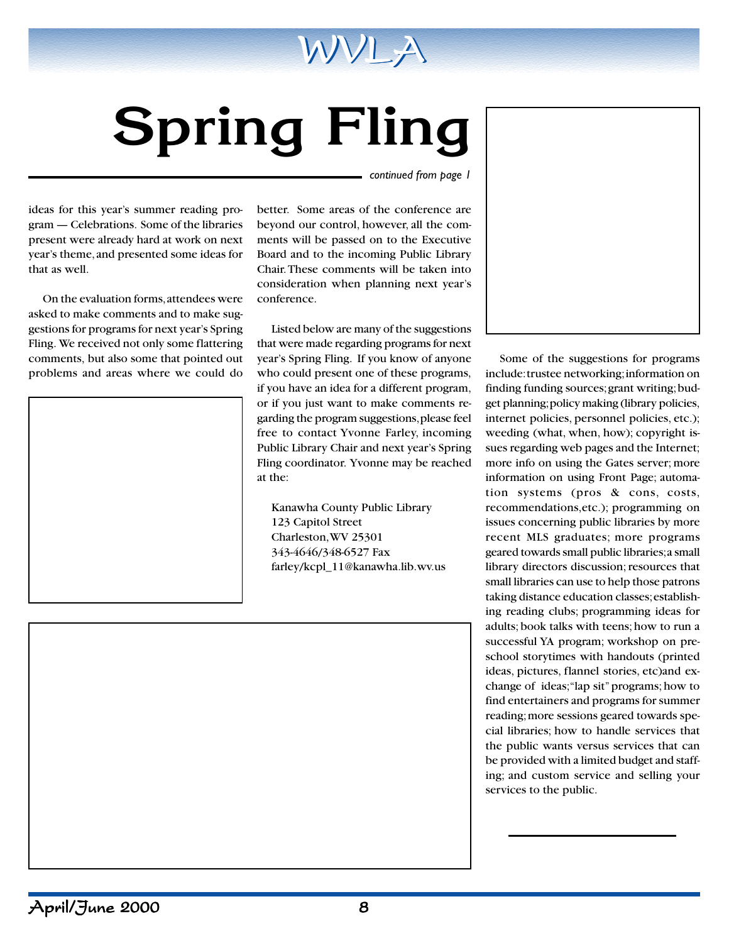

# **Spring Fling**

*continued from page 1*

ideas for this year's summer reading program — Celebrations. Some of the libraries present were already hard at work on next year's theme, and presented some ideas for that as well.

On the evaluation forms, attendees were asked to make comments and to make suggestions for programs for next year's Spring Fling. We received not only some flattering comments, but also some that pointed out problems and areas where we could do



better. Some areas of the conference are beyond our control, however, all the comments will be passed on to the Executive Board and to the incoming Public Library Chair. These comments will be taken into consideration when planning next year's conference.

Listed below are many of the suggestions that were made regarding programs for next year's Spring Fling. If you know of anyone who could present one of these programs, if you have an idea for a different program, or if you just want to make comments regarding the program suggestions, please feel free to contact Yvonne Farley, incoming Public Library Chair and next year's Spring Fling coordinator. Yvonne may be reached at the:

Kanawha County Public Library 123 Capitol Street Charleston, WV 25301 343-4646/348-6527 Fax farley/kcpl\_11@kanawha.lib.wv.us

Some of the suggestions for programs include: trustee networking; information on finding funding sources; grant writing; budget planning; policy making (library policies, internet policies, personnel policies, etc.); weeding (what, when, how); copyright issues regarding web pages and the Internet; more info on using the Gates server; more information on using Front Page; automation systems (pros & cons, costs, recommendations,etc.); programming on issues concerning public libraries by more recent MLS graduates; more programs geared towards small public libraries; a small library directors discussion; resources that small libraries can use to help those patrons taking distance education classes; establishing reading clubs; programming ideas for adults; book talks with teens; how to run a successful YA program; workshop on preschool storytimes with handouts (printed ideas, pictures, flannel stories, etc)and exchange of ideas; "lap sit" programs; how to find entertainers and programs for summer reading; more sessions geared towards special libraries; how to handle services that the public wants versus services that can be provided with a limited budget and staffing; and custom service and selling your services to the public.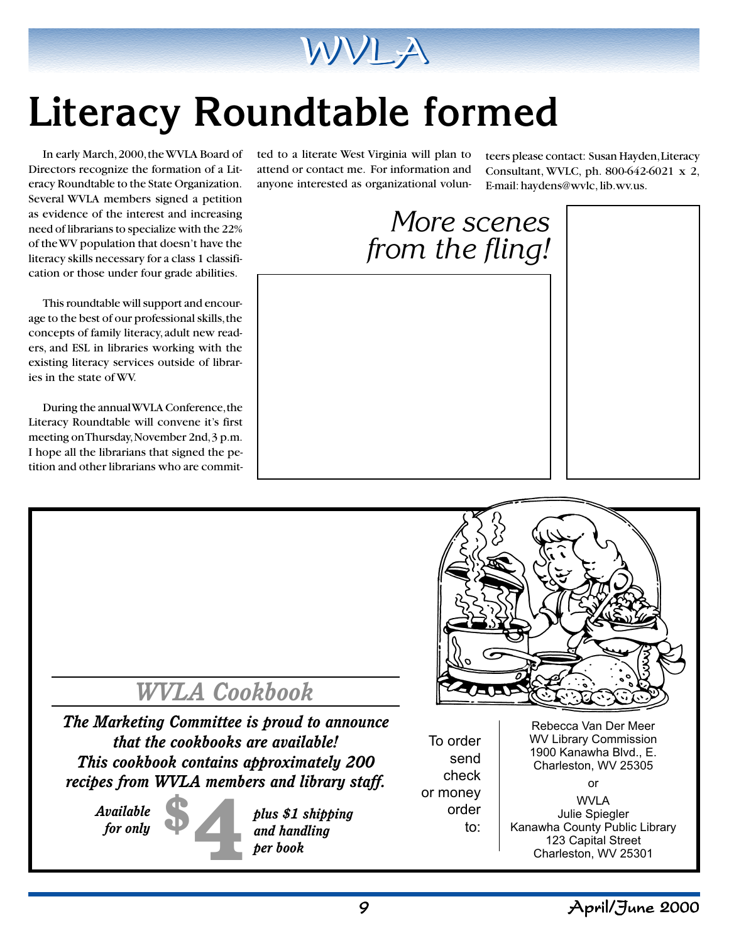

# **Literacy Roundtable formed**

In early March, 2000, the WVLA Board of Directors recognize the formation of a Literacy Roundtable to the State Organization. Several WVLA members signed a petition as evidence of the interest and increasing need of librarians to specialize with the 22% of the WV population that doesn't have the literacy skills necessary for a class 1 classification or those under four grade abilities.

This roundtable will support and encourage to the best of our professional skills, the concepts of family literacy, adult new readers, and ESL in libraries working with the existing literacy services outside of libraries in the state of WV.

During the annual WVLA Conference, the Literacy Roundtable will convene it's first meeting on Thursday, November 2nd, 3 p.m. I hope all the librarians that signed the petition and other librarians who are committed to a literate West Virginia will plan to attend or contact me. For information and anyone interested as organizational volunteers please contact: Susan Hayden, Literacy Consultant, WVLC, ph. 800-642-6021 x 2, E-mail: haydens@wvlc, lib.wv.us.





*The Marketing Committee is proud to announce that the cookbooks are available! This cookbook contains approximately 200 recipes from WVLA members and library staff.*

*Available for only*



*and handling per book*

To order send check or money order to:

Rebecca Van Der Meer WV Library Commission 1900 Kanawha Blvd., E. Charleston, WV 25305

WVLA Julie Spiegler Kanawha County Public Library 123 Capital Street Charleston, WV 25301

or

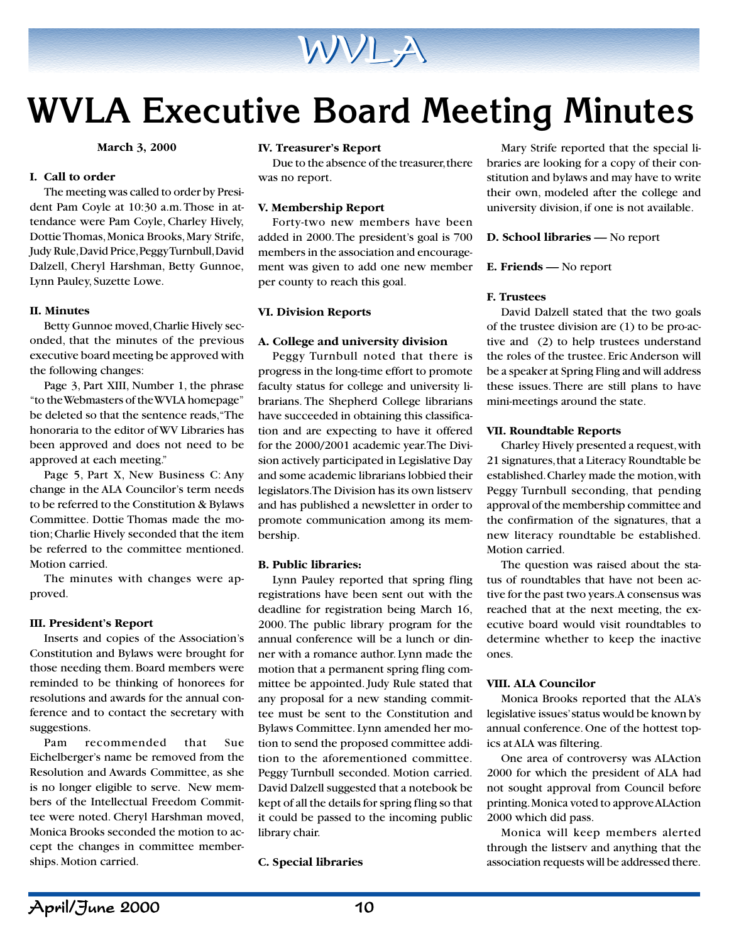

### **WVLA Executive Board Meeting Minutes**

**March 3, 2000**

#### **I. Call to order**

The meeting was called to order by President Pam Coyle at 10:30 a.m. Those in attendance were Pam Coyle, Charley Hively, Dottie Thomas, Monica Brooks, Mary Strife, Judy Rule, David Price, Peggy Turnbull, David Dalzell, Cheryl Harshman, Betty Gunnoe, Lynn Pauley, Suzette Lowe.

#### **II. Minutes**

Betty Gunnoe moved, Charlie Hively seconded, that the minutes of the previous executive board meeting be approved with the following changes:

Page 3, Part XIII, Number 1, the phrase "to the Webmasters of the WVLA homepage" be deleted so that the sentence reads, "The honoraria to the editor of WV Libraries has been approved and does not need to be approved at each meeting."

Page 5, Part X, New Business C: Any change in the ALA Councilor's term needs to be referred to the Constitution & Bylaws Committee. Dottie Thomas made the motion; Charlie Hively seconded that the item be referred to the committee mentioned. Motion carried.

The minutes with changes were approved.

#### **III. President's Report**

Inserts and copies of the Association's Constitution and Bylaws were brought for those needing them. Board members were reminded to be thinking of honorees for resolutions and awards for the annual conference and to contact the secretary with suggestions.

Pam recommended that Sue Eichelberger's name be removed from the Resolution and Awards Committee, as she is no longer eligible to serve. New members of the Intellectual Freedom Committee were noted. Cheryl Harshman moved, Monica Brooks seconded the motion to accept the changes in committee memberships. Motion carried.

#### **IV. Treasurer's Report**

Due to the absence of the treasurer, there was no report.

#### **V. Membership Report**

Forty-two new members have been added in 2000. The president's goal is 700 members in the association and encouragement was given to add one new member per county to reach this goal.

#### **VI. Division Reports**

#### **A. College and university division**

Peggy Turnbull noted that there is progress in the long-time effort to promote faculty status for college and university librarians. The Shepherd College librarians have succeeded in obtaining this classification and are expecting to have it offered for the 2000/2001 academic year. The Division actively participated in Legislative Day and some academic librarians lobbied their legislators. The Division has its own listserv and has published a newsletter in order to promote communication among its membership.

#### **B. Public libraries:**

Lynn Pauley reported that spring fling registrations have been sent out with the deadline for registration being March 16, 2000. The public library program for the annual conference will be a lunch or dinner with a romance author. Lynn made the motion that a permanent spring fling committee be appointed. Judy Rule stated that any proposal for a new standing committee must be sent to the Constitution and Bylaws Committee. Lynn amended her motion to send the proposed committee addition to the aforementioned committee. Peggy Turnbull seconded. Motion carried. David Dalzell suggested that a notebook be kept of all the details for spring fling so that it could be passed to the incoming public library chair.

#### **C. Special libraries**

Mary Strife reported that the special libraries are looking for a copy of their constitution and bylaws and may have to write their own, modeled after the college and university division, if one is not available.

#### **D. School libraries —** No report

#### **E. Friends —** No report

#### **F. Trustees**

David Dalzell stated that the two goals of the trustee division are (1) to be pro-active and (2) to help trustees understand the roles of the trustee. Eric Anderson will be a speaker at Spring Fling and will address these issues. There are still plans to have mini-meetings around the state.

#### **VII. Roundtable Reports**

Charley Hively presented a request, with 21 signatures, that a Literacy Roundtable be established. Charley made the motion, with Peggy Turnbull seconding, that pending approval of the membership committee and the confirmation of the signatures, that a new literacy roundtable be established. Motion carried.

The question was raised about the status of roundtables that have not been active for the past two years. A consensus was reached that at the next meeting, the executive board would visit roundtables to determine whether to keep the inactive ones.

#### **VIII. ALA Councilor**

Monica Brooks reported that the ALA's legislative issues' status would be known by annual conference. One of the hottest topics at ALA was filtering.

One area of controversy was ALAction 2000 for which the president of ALA had not sought approval from Council before printing. Monica voted to approve ALAction 2000 which did pass.

Monica will keep members alerted through the listserv and anything that the association requests will be addressed there.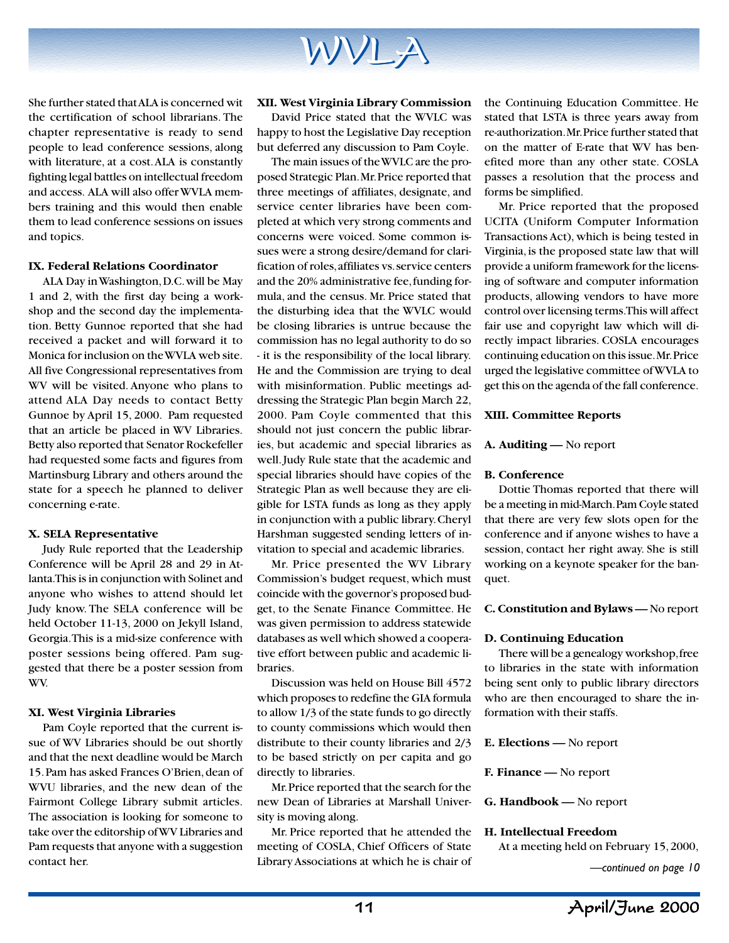

She further stated that ALA is concerned wit the certification of school librarians. The chapter representative is ready to send people to lead conference sessions, along with literature, at a cost. ALA is constantly fighting legal battles on intellectual freedom and access. ALA will also offer WVLA members training and this would then enable them to lead conference sessions on issues and topics.

#### **IX. Federal Relations Coordinator**

ALA Day in Washington, D.C. will be May 1 and 2, with the first day being a workshop and the second day the implementation. Betty Gunnoe reported that she had received a packet and will forward it to Monica for inclusion on the WVLA web site. All five Congressional representatives from WV will be visited. Anyone who plans to attend ALA Day needs to contact Betty Gunnoe by April 15, 2000. Pam requested that an article be placed in WV Libraries. Betty also reported that Senator Rockefeller had requested some facts and figures from Martinsburg Library and others around the state for a speech he planned to deliver concerning e-rate.

#### **X. SELA Representative**

Judy Rule reported that the Leadership Conference will be April 28 and 29 in Atlanta. This is in conjunction with Solinet and anyone who wishes to attend should let Judy know. The SELA conference will be held October 11-13, 2000 on Jekyll Island, Georgia. This is a mid-size conference with poster sessions being offered. Pam suggested that there be a poster session from WV.

#### **XI. West Virginia Libraries**

Pam Coyle reported that the current issue of WV Libraries should be out shortly and that the next deadline would be March 15. Pam has asked Frances O'Brien, dean of WVU libraries, and the new dean of the Fairmont College Library submit articles. The association is looking for someone to take over the editorship of WV Libraries and Pam requests that anyone with a suggestion contact her.

#### **XII. West Virginia Library Commission**

David Price stated that the WVLC was happy to host the Legislative Day reception but deferred any discussion to Pam Coyle.

The main issues of the WVLC are the proposed Strategic Plan. Mr. Price reported that three meetings of affiliates, designate, and service center libraries have been completed at which very strong comments and concerns were voiced. Some common issues were a strong desire/demand for clarification of roles, affiliates vs. service centers and the 20% administrative fee, funding formula, and the census. Mr. Price stated that the disturbing idea that the WVLC would be closing libraries is untrue because the commission has no legal authority to do so - it is the responsibility of the local library. He and the Commission are trying to deal with misinformation. Public meetings addressing the Strategic Plan begin March 22, 2000. Pam Coyle commented that this should not just concern the public libraries, but academic and special libraries as well. Judy Rule state that the academic and special libraries should have copies of the Strategic Plan as well because they are eligible for LSTA funds as long as they apply in conjunction with a public library. Cheryl Harshman suggested sending letters of invitation to special and academic libraries.

Mr. Price presented the WV Library Commission's budget request, which must coincide with the governor's proposed budget, to the Senate Finance Committee. He was given permission to address statewide databases as well which showed a cooperative effort between public and academic libraries.

Discussion was held on House Bill 4572 which proposes to redefine the GIA formula to allow 1/3 of the state funds to go directly to county commissions which would then distribute to their county libraries and 2/3 to be based strictly on per capita and go directly to libraries.

Mr. Price reported that the search for the new Dean of Libraries at Marshall University is moving along.

Mr. Price reported that he attended the meeting of COSLA, Chief Officers of State Library Associations at which he is chair of

the Continuing Education Committee. He stated that LSTA is three years away from re-authorization. Mr. Price further stated that on the matter of E-rate that WV has benefited more than any other state. COSLA passes a resolution that the process and forms be simplified.

Mr. Price reported that the proposed UCITA (Uniform Computer Information Transactions Act), which is being tested in Virginia, is the proposed state law that will provide a uniform framework for the licensing of software and computer information products, allowing vendors to have more control over licensing terms. This will affect fair use and copyright law which will directly impact libraries. COSLA encourages continuing education on this issue. Mr. Price urged the legislative committee of WVLA to get this on the agenda of the fall conference.

#### **XIII. Committee Reports**

#### **A. Auditing —** No report

#### **B. Conference**

Dottie Thomas reported that there will be a meeting in mid-March. Pam Coyle stated that there are very few slots open for the conference and if anyone wishes to have a session, contact her right away. She is still working on a keynote speaker for the banquet.

#### **C. Constitution and Bylaws —** No report

#### **D. Continuing Education**

There will be a genealogy workshop, free to libraries in the state with information being sent only to public library directors who are then encouraged to share the information with their staffs.

#### **E. Elections —** No report

#### **F. Finance —** No report

**G. Handbook —** No report

#### **H. Intellectual Freedom**

At a meeting held on February 15, 2000,

*—continued on page 10*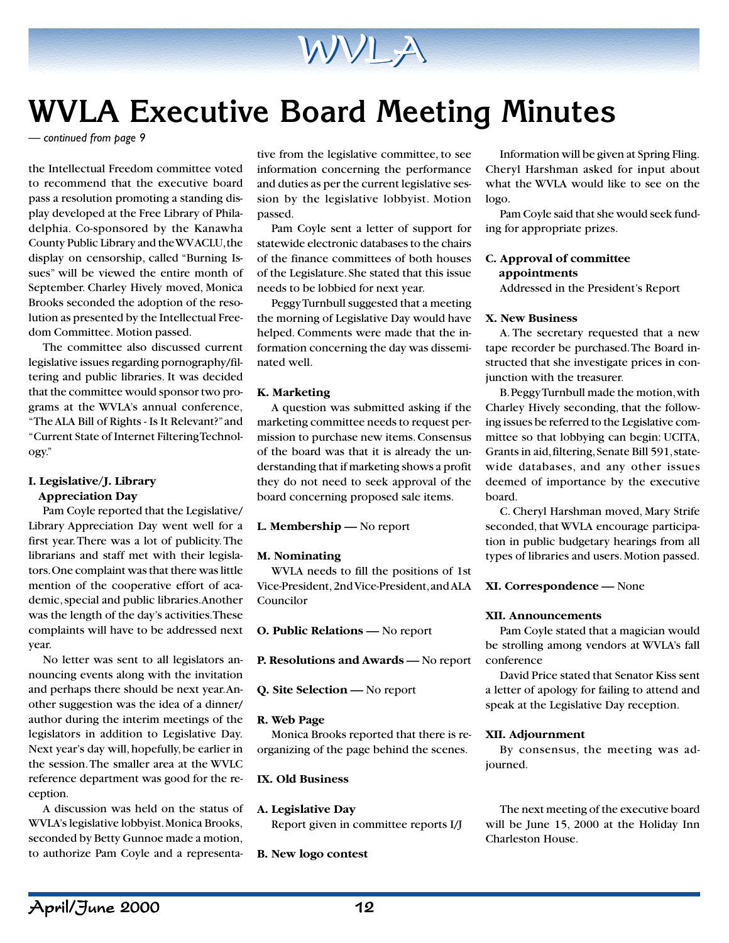

### **WVLA Executive Board Meeting Minutes**

*— continued from page 9*

the Intellectual Freedom committee voted to recommend that the executive board pass a resolution promoting a standing display developed at the Free Library of Philadelphia. Co-sponsored by the Kanawha County Public Library and the WV ACLU, the display on censorship, called "Burning Issues" will be viewed the entire month of September. Charley Hively moved, Monica Brooks seconded the adoption of the resolution as presented by the Intellectual Freedom Committee. Motion passed.

The committee also discussed current legislative issues regarding pornography/filtering and public libraries. It was decided that the committee would sponsor two programs at the WVLA's annual conference, "The ALA Bill of Rights - Is It Relevant?" and "Current State of Internet Filtering Technology."

#### **I. Legislative/J. Library Appreciation Day**

Pam Coyle reported that the Legislative/ Library Appreciation Day went well for a first year. There was a lot of publicity. The librarians and staff met with their legislators. One complaint was that there was little mention of the cooperative effort of academic, special and public libraries. Another was the length of the day's activities. These complaints will have to be addressed next year.

No letter was sent to all legislators announcing events along with the invitation and perhaps there should be next year. Another suggestion was the idea of a dinner/ author during the interim meetings of the legislators in addition to Legislative Day. Next year's day will, hopefully, be earlier in the session. The smaller area at the WVLC reference department was good for the reception.

A discussion was held on the status of WVLA's legislative lobbyist. Monica Brooks, seconded by Betty Gunnoe made a motion, to authorize Pam Coyle and a representa-

tive from the legislative committee, to see information concerning the performance and duties as per the current legislative session by the legislative lobbyist. Motion passed.

Pam Coyle sent a letter of support for statewide electronic databases to the chairs of the finance committees of both houses of the Legislature. She stated that this issue needs to be lobbied for next year.

Peggy Turnbull suggested that a meeting the morning of Legislative Day would have helped. Comments were made that the information concerning the day was disseminated well.

#### **K. Marketing**

A question was submitted asking if the marketing committee needs to request permission to purchase new items. Consensus of the board was that it is already the understanding that if marketing shows a profit they do not need to seek approval of the board concerning proposed sale items.

**L. Membership —** No report

#### **M. Nominating**

WVLA needs to fill the positions of 1st Vice-President, 2nd Vice-President, and ALA Councilor

**O. Public Relations —** No report

**P. Resolutions and Awards —** No report

#### **Q. Site Selection —** No report

#### **R. Web Page**

Monica Brooks reported that there is reorganizing of the page behind the scenes.

#### **IX. Old Business**

#### **A. Legislative Day**

Report given in committee reports I/J

#### **B. New logo contest**

Information will be given at Spring Fling. Cheryl Harshman asked for input about what the WVLA would like to see on the logo.

Pam Coyle said that she would seek funding for appropriate prizes.

#### **C. Approval of committee appointments**

Addressed in the President's Report

#### **X. New Business**

A. The secretary requested that a new tape recorder be purchased. The Board instructed that she investigate prices in conjunction with the treasurer.

B. Peggy Turnbull made the motion, with Charley Hively seconding, that the following issues be referred to the Legislative committee so that lobbying can begin: UCITA, Grants in aid, filtering, Senate Bill 591, statewide databases, and any other issues deemed of importance by the executive board.

C. Cheryl Harshman moved, Mary Strife seconded, that WVLA encourage participation in public budgetary hearings from all types of libraries and users. Motion passed.

**XI. Correspondence —** None

#### **XII. Announcements**

Pam Coyle stated that a magician would be strolling among vendors at WVLA's fall conference

David Price stated that Senator Kiss sent a letter of apology for failing to attend and speak at the Legislative Day reception.

#### **XII. Adjournment**

By consensus, the meeting was adjourned.

The next meeting of the executive board will be June 15, 2000 at the Holiday Inn Charleston House.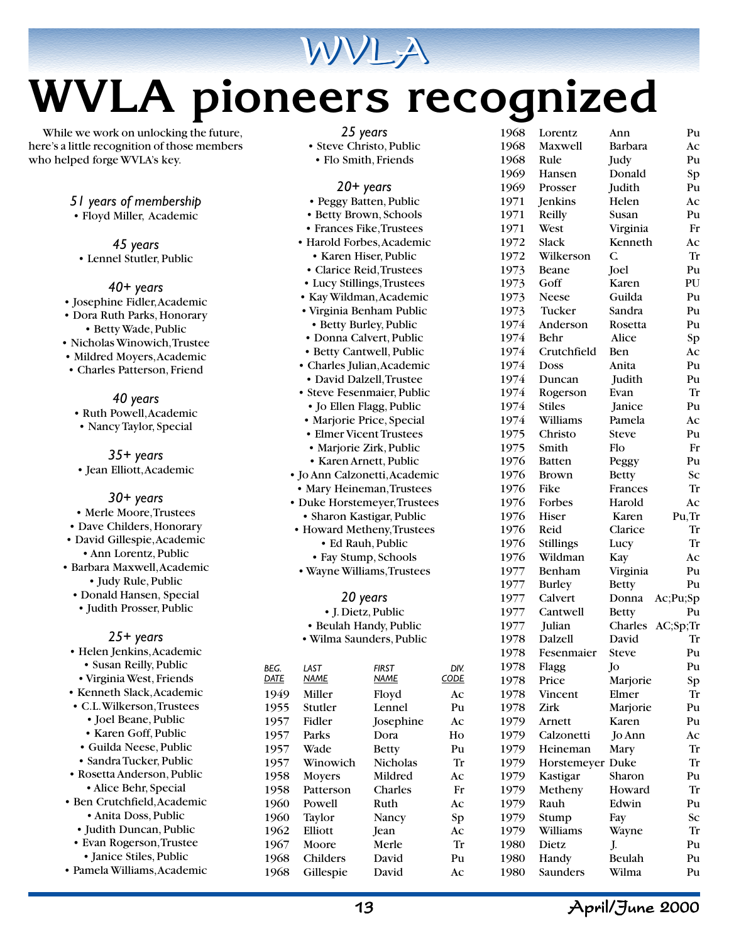

# **WVLA pioneers recognized**

While we work on unlocking the future, here's a little recognition of those members who helped forge WVLA's key.

*51 years of membership*

• Floyd Miller, Academic

*45 years* • Lennel Stutler, Public

*40+ years*

- Josephine Fidler, Academic
- Dora Ruth Parks, Honorary • Betty Wade, Public
- Nicholas Winowich, Trustee
- Mildred Moyers, Academic
- Charles Patterson, Friend

*40 years*

- Ruth Powell, Academic
- Nancy Taylor, Special

*35+ years* • Jean Elliott, Academic

*30+ years*

- Merle Moore, Trustees
- Dave Childers, Honorary
- David Gillespie, Academic
	- Ann Lorentz, Public
- Barbara Maxwell, Academic • Judy Rule, Public
	- Donald Hansen, Special • Judith Prosser, Public

#### *25+ years*

• Helen Jenkins, Academic • Susan Reilly, Public • Virginia West, Friends • Kenneth Slack, Academic • C.L. Wilkerson, Trustees • Joel Beane, Public • Karen Goff, Public • Guilda Neese, Public • Sandra Tucker, Public • Rosetta Anderson, Public • Alice Behr, Special • Ben Crutchfield, Academic • Anita Doss, Public • Judith Duncan, Public • Evan Rogerson, Trustee • Janice Stiles, Public

• Pamela Williams, Academic

|  | vear<br>N |
|--|-----------|
|--|-----------|

- Steve Christo, Public
- Flo Smith, Friends

*20+ years*

- Peggy Batten, Public • Betty Brown, Schools
- Frances Fike, Trustees
- Harold Forbes, Academic • Karen Hiser, Public
- Clarice Reid, Trustees
- Lucy Stillings, Trustees
- Kay Wildman, Academic
- Virginia Benham Public
- Betty Burley, Public
- Donna Calvert, Public
- Betty Cantwell, Public
- Charles Julian, Academic
- David Dalzell, Trustee
- Steve Fesenmaier, Public
- Jo Ellen Flagg, Public • Marjorie Price, Special
- Elmer Vicent Trustees
- Marjorie Zirk, Public
- Karen Arnett, Public
- Jo Ann Calzonetti, Academic
- Mary Heineman, Trustees • Duke Horstemeyer, Trustees
- Sharon Kastigar, Public
- Howard Metheny, Trustees • Ed Rauh, Public • Fay Stump, Schools
- Wayne Williams, Trustees

*20 years*

- J. Dietz, Public
- Beulah Handy, Public
- Wilma Saunders, Public

| BEG. | LAST          | <b>FIRST</b>    | DIV.        |  |
|------|---------------|-----------------|-------------|--|
| DATE | <b>NAME</b>   | NAME            | <b>CODE</b> |  |
| 1949 | Miller        | Floyd           | Aс          |  |
| 1955 | Stutler       | Lennel          | Pu          |  |
| 1957 | Fidler        | Josephine       | Ac          |  |
| 1957 | Parks         | Dora            | Ho          |  |
| 1957 | Wade          | <b>Betty</b>    | Pu          |  |
| 1957 | Winowich      | <b>Nicholas</b> | Tr          |  |
| 1958 | <b>Moyers</b> | Mildred         | Ac          |  |
| 1958 | Patterson     | Charles         | Fr          |  |
| 1960 | Powell        | Ruth            | Ac          |  |
| 1960 | Taylor        | Nancy           | Sp          |  |
| 1962 | Elliott       | Jean            | Ac          |  |
| 1967 | Moore         | Merle           | Tr          |  |
| 1968 | Childers      | David           | Pu          |  |
| 1968 | Gillespie     | David           | Aс          |  |

| 1968         | Lorentz          | Ann            | Pu       |
|--------------|------------------|----------------|----------|
| 1968         | <b>Maxwell</b>   | Barbara        | Ac       |
| 1968         | Rule             | Judy           | Pu       |
| 1969         | Hansen           | Donald         | Sp       |
| 1969         | Prosser          | Judith         | Pu       |
| 1971         | Jenkins          | Helen          | Ac       |
| 1971         | Reilly           | Susan          | Pu       |
| 1971         | West             | Virginia       | Fr       |
| 1972         | Slack            | Kenneth        | Ac       |
| 1972         | Wilkerson        | $\overline{C}$ | Tr       |
| 1973         | Beane            | Joel           | Pu       |
| 1973         | Goff             | Karen          | PU       |
| 1973         | Neese            | Guilda         | Pu       |
| 1973         | Tucker           | Sandra         | Pu       |
| 1974         | Anderson         | Rosetta        | Pu       |
| 1974         | Behr             | Alice          | Sp       |
| 1974         | Crutchfield      | Ben            | Ac       |
| 1974         | Doss             | Anita          | Pu       |
| 1974         | Duncan           | Judith         | Pu       |
| 1974         | Rogerson         | Evan           | Tr       |
| 1974         | <b>Stiles</b>    | Janice         | Pu       |
| 1974         | Williams         | Pamela         | Ac       |
| 1975         | Christo          | <b>Steve</b>   | Pu       |
| 1975         | Smith            | Flo            | Fr       |
| 1976         | Batten           |                | Pu       |
|              |                  | Peggy          | Sc       |
| 1976<br>1976 | Brown<br>Fike    | <b>Betty</b>   | Tr       |
|              |                  | Frances        |          |
| 1976         | Forbes           | Harold         | Aс       |
| 1976         | Hiser            | Karen          | Pu, Tr   |
| 1976         | Reid             | Clarice        | Tr       |
| 1976         | <b>Stillings</b> | Lucy           | Tr       |
| 1976         | Wildman          | Kay            | Ac       |
| 1977         | Benham           | Virginia       | Pu       |
| 1977         | <b>Burley</b>    | <b>Betty</b>   | Pu       |
| 1977         | Calvert          | Donna          | Ac;Pu;Sp |
| 1977         | Cantwell         | <b>Betty</b>   | Pu       |
| 1977         | Julian           | Charles        | AC;Sp;Tr |
| 1978         | Dalzell          | David          | Tr       |
| 1978         | Fesenmaier       | <b>Steve</b>   | Pu       |
| 1978         | Flagg            | Jo             | Pu       |
| 1978         | Price            | Marjorie       | Sp       |
| 1978         | Vincent          | Elmer          | Tr       |
| 1978         | Zirk             | Marjorie       | Pu       |
| 1979         | Arnett           | Karen          | Pu       |
| 1979         | Calzonetti       | Jo Ann         | Aс       |
| 1979         | Heineman         | Mary           | Tr       |
| 1979         | Horstemeyer Duke |                | Tr       |
| 1979         | Kastigar         | Sharon         | Pu       |
| 1979         | Metheny          | Howard         | Tr       |
| 1979         | Rauh             | Edwin          | Pu       |
| 1979         | Stump            | Fay            | Sс       |
| 1979         | Williams         | Wayne          | Tr       |
| 1980         | Dietz            | J.             | Pu       |
| 1980         | Handy            | Beulah         | Pu       |
| 1980         | Saunders         | Wilma          | Pu       |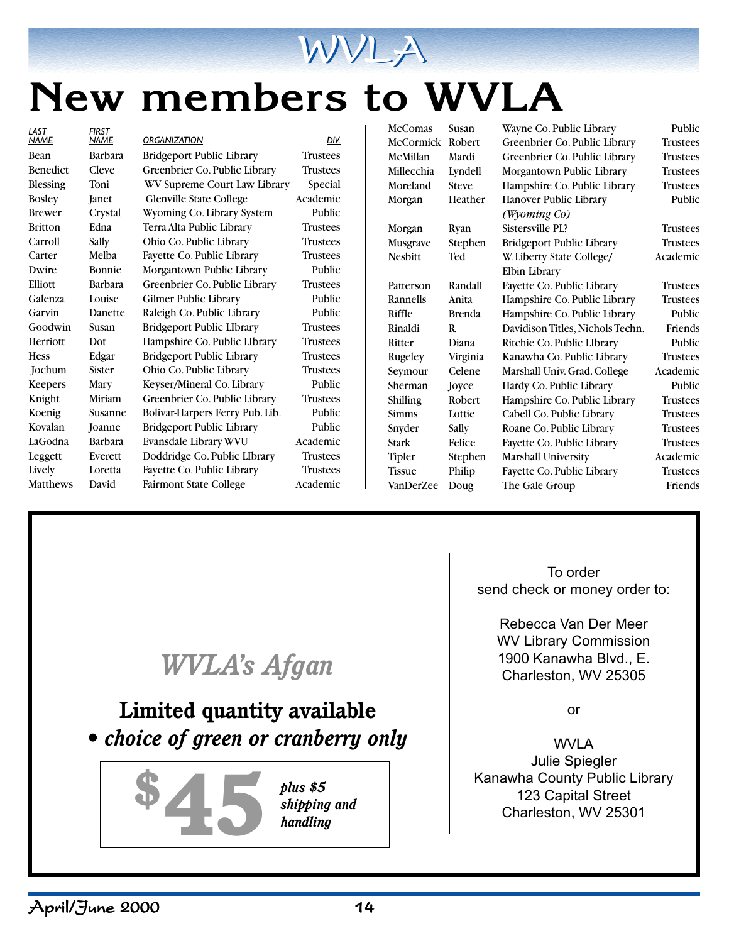

## **New members to WVLA**

*LAST FIRST*

*NAME NAME ORGANIZATION DIV.* Bean Barbara Bridgeport Public Library Trustees Benedict Cleve Greenbrier Co. Public Library Trustees Blessing Toni WV Supreme Court Law Library Special Bosley Janet Glenville State College Academic Brewer Crystal Wyoming Co. Library System Public Britton Edna Terra Alta Public Library Trustees Carroll Sally Ohio Co. Public Library Trustees Carter Melba Fayette Co. Public Library Trustees Dwire Bonnie Morgantown Public Library Public Elliott Barbara Greenbrier Co. Public Library Trustees Galenza Louise Gilmer Public Library Public Garvin Danette Raleigh Co. Public Library Public Goodwin Susan Bridgeport Public LIbrary Trustees Herriott Dot Hampshire Co. Public LIbrary Trustees Hess Edgar Bridgeport Public Library Trustees Jochum Sister Ohio Co. Public Library Trustees Keepers Mary Keyser/Mineral Co. Library Public Knight Miriam Greenbrier Co. Public Library Trustees Koenig Susanne Bolivar-Harpers Ferry Pub. Lib. Public Kovalan Joanne Bridgeport Public Library Public LaGodna Barbara Evansdale Library WVU Academic Leggett Everett Doddridge Co. Public LIbrary Trustees Lively Loretta Fayette Co. Public Library Trustees Matthews David Fairmont State College Academic

McComas Susan Wayne Co. Public Library Public McCormick Robert Greenbrier Co. Public Library Trustees McMillan Mardi Greenbrier Co. Public Library Trustees Millecchia Lyndell Morgantown Public Library Trustees Moreland Steve Hampshire Co. Public Library Trustees Morgan Heather Hanover Public Library Public *(Wyoming Co)* Morgan Ryan Sistersville PL? Trustees Musgrave Stephen Bridgeport Public Library Trustees Nesbitt Ted W. Liberty State College/ Academic Elbin Library Patterson Randall Fayette Co. Public Library Trustees Rannells Anita Hampshire Co. Public Library Trustees Riffle Brenda Hampshire Co. Public Library Public Rinaldi R. Davidison Titles, Nichols Techn. Friends Ritter Diana Ritchie Co. Public LIbrary Public Rugeley Virginia Kanawha Co. Public Library Trustees Seymour Celene Marshall Univ. Grad. College Academic Sherman Joyce Hardy Co. Public Library Public Shilling Robert Hampshire Co. Public Library Trustees Simms Lottie Cabell Co. Public Library Trustees Snyder Sally Roane Co. Public Library Trustees Stark Felice Fayette Co. Public Library Trustees Tipler Stephen Marshall University Academic Tissue Philip Fayette Co. Public Library Trustees VanDerZee Doug The Gale Group Friends

*WVLA's Afgan* **Limited quantity available** *• choice of green or cranberry only* plus \$5<br>
shipping and<br>
handling<br>
thandling<br>
thandling<br>
thandling<br>
thandling<br>
thandling<br>
thandling<br>
thandling<br>
thandling<br>
thandling<br>
thandling<br>
thandling<br>
thandling<br>
thandling<br>
thandling<br>
thandling<br>
thandling<br>
thandling<br>
th *plus \$5 shipping and handling*

To order send check or money order to:

> Rebecca Van Der Meer WV Library Commission 1900 Kanawha Blvd., E. Charleston, WV 25305

> > or

WVLA Julie Spiegler Kanawha County Public Library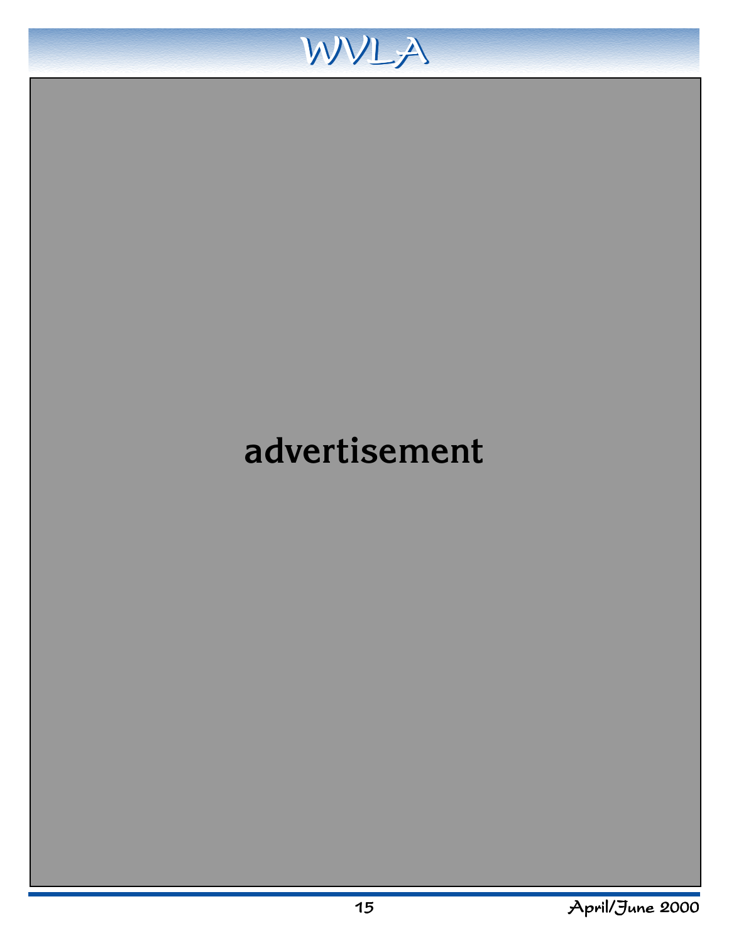

### **advertisement**